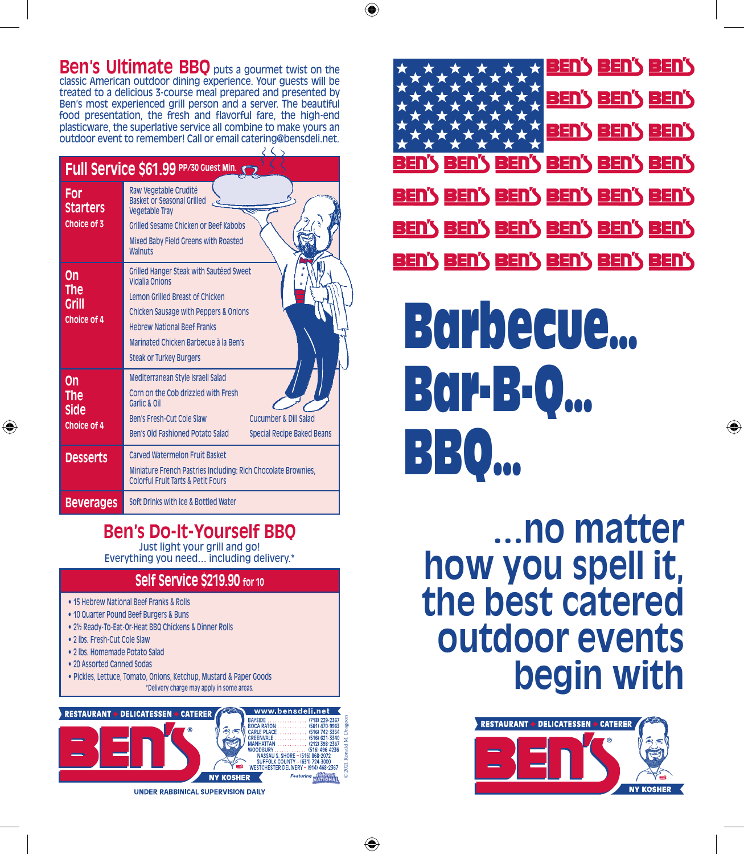## **Ben's Ultimate BBO** puts a gourmet twist on the

classic American outdoor dining experience. Your guests will be treated to a delicious 3-course meal prepared and presented by Ben's most experienced grill person and a server. The beautiful food presentation, the fresh and flavorful fare, the high-end plasticware, the superlative service all combine to make yours an outdoor event to remember! Call or email catering@bensdeli.net.

| Full Service \$61.99 PP/30 Guest Min. |                                                                                                                                                                                                                                                                          |  |  |  |
|---------------------------------------|--------------------------------------------------------------------------------------------------------------------------------------------------------------------------------------------------------------------------------------------------------------------------|--|--|--|
| For<br><b>Starters</b><br>Choice of 3 | Raw Vegetable Crudité<br><b>Basket or Seasonal Grilled</b><br><b>Vegetable Trav</b><br><b>Grilled Sesame Chicken or Beef Kabobs</b><br>Mixed Baby Field Greens with Roasted<br>Walnuts                                                                                   |  |  |  |
| On<br>The<br>Grill<br>Choice of 4     | Grilled Hanger Steak with Sautéed Sweet<br><b>Vidalia Onions</b><br>Lemon Grilled Breast of Chicken<br><b>Chicken Sausage with Peppers &amp; Onions</b><br><b>Hebrew National Beef Franks</b><br>Marinated Chicken Barbecue à la Ben's<br><b>Steak or Turkey Burgers</b> |  |  |  |
| On<br>The<br>Side<br>Choice of 4      | Mediterranean Style Israeli Salad<br>Corn on the Cob drizzled with Fresh<br>Garlic & Oil<br>Ben's Fresh-Cut Cole Slaw<br>Cucumber & Dill Salad<br>Ben's Old Fashioned Potato Salad<br><b>Special Recipe Baked Beans</b>                                                  |  |  |  |
| <b>Desserts</b>                       | Carved Watermelon Fruit Basket<br>Miniature French Pastries Including: Rich Chocolate Brownies,<br><b>Colorful Fruit Tarts &amp; Petit Fours</b>                                                                                                                         |  |  |  |
| <b>Beverages</b>                      | Soft Drinks with Ice & Bottled Water                                                                                                                                                                                                                                     |  |  |  |

## **Ben's Do-It-Yourself BBQ**

Just light your grill and go! Everything you need… including delivery.\*

### **Self Service \$219.90 for 10**

- 15 Hebrew National Beef Franks & Rolls
- 10 Quarter Pound Beef Burgers & Buns
- 2½ Ready-To-Eat-Or-Heat BBQ Chickens & Dinner Rolls
- • 2 lbs. Fresh-Cut Cole Slaw
- • 2 lbs. Homemade Potato Salad
- 20 Assorted Canned Sodas
- Pickles, Lettuce, Tomato, Onions, Ketchup, Mustard & Paper Goods \*Delivery charge may apply in some areas.







# Barbecue… Bar-B-Q… BBQ…

**…no matter how you spell it, the best catered outdoor events begin with**